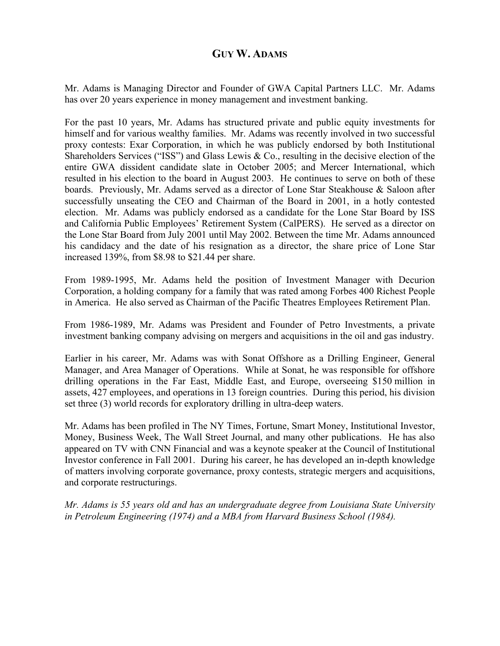## **GUY W. ADAMS**

Mr. Adams is Managing Director and Founder of GWA Capital Partners LLC. Mr. Adams has over 20 years experience in money management and investment banking.

For the past 10 years, Mr. Adams has structured private and public equity investments for himself and for various wealthy families. Mr. Adams was recently involved in two successful proxy contests: Exar Corporation, in which he was publicly endorsed by both Institutional Shareholders Services ("ISS") and Glass Lewis & Co., resulting in the decisive election of the entire GWA dissident candidate slate in October 2005; and Mercer International, which resulted in his election to the board in August 2003. He continues to serve on both of these boards. Previously, Mr. Adams served as a director of Lone Star Steakhouse & Saloon after successfully unseating the CEO and Chairman of the Board in 2001, in a hotly contested election. Mr. Adams was publicly endorsed as a candidate for the Lone Star Board by ISS and California Public Employees' Retirement System (CalPERS). He served as a director on the Lone Star Board from July 2001 until May 2002. Between the time Mr. Adams announced his candidacy and the date of his resignation as a director, the share price of Lone Star increased 139%, from \$8.98 to \$21.44 per share.

From 1989-1995, Mr. Adams held the position of Investment Manager with Decurion Corporation, a holding company for a family that was rated among Forbes 400 Richest People in America. He also served as Chairman of the Pacific Theatres Employees Retirement Plan.

From 1986-1989, Mr. Adams was President and Founder of Petro Investments, a private investment banking company advising on mergers and acquisitions in the oil and gas industry.

Earlier in his career, Mr. Adams was with Sonat Offshore as a Drilling Engineer, General Manager, and Area Manager of Operations. While at Sonat, he was responsible for offshore drilling operations in the Far East, Middle East, and Europe, overseeing \$150 million in assets, 427 employees, and operations in 13 foreign countries. During this period, his division set three (3) world records for exploratory drilling in ultra-deep waters.

Mr. Adams has been profiled in The NY Times, Fortune, Smart Money, Institutional Investor, Money, Business Week, The Wall Street Journal, and many other publications. He has also appeared on TV with CNN Financial and was a keynote speaker at the Council of Institutional Investor conference in Fall 2001. During his career, he has developed an in-depth knowledge of matters involving corporate governance, proxy contests, strategic mergers and acquisitions, and corporate restructurings.

*Mr. Adams is 55 years old and has an undergraduate degree from Louisiana State University in Petroleum Engineering (1974) and a MBA from Harvard Business School (1984).*